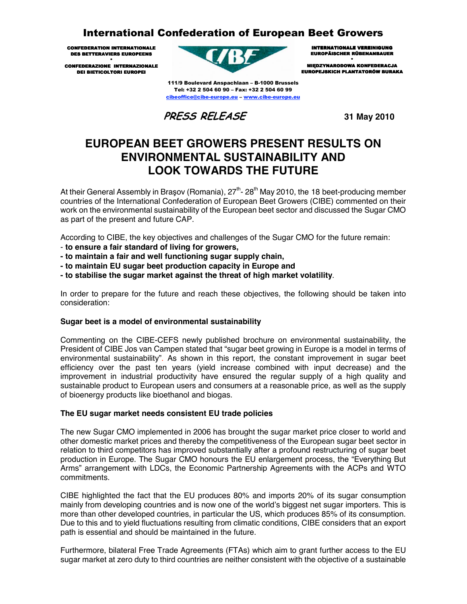# **International Confederation of European Beet Growers**

**CONFEDERATION INTERNATIONALE** DES BETTERAVIERS EUROPEENS

.<br>Confederazione internazionale **DEI BIETICOLTORI EUROPEI** 



111/9 Boulevard Anspachlaan - B-1000 Brussels Tel: +32 2 504 60 90 - Fax: +32 2 504 60 99 cibeoffice@cibe-europe.eu - www.cibe-europe.eu

**PRESS RELEASE** 31 May 2010

**INTERNATIONALE VEREINIGUNG EUROPÄISCHER RÜBENANBAUER** ٠ **MIEDZYNARODOWA KONFEDERACJA EUROPEJSKICH PLANTATORÓW BURAKA** 

# **EUROPEAN BEET GROWERS PRESENT RESULTS ON ENVIRONMENTAL SUSTAINABILITY AND LOOK TOWARDS THE FUTURE**

At their General Assembly in Brasov (Romania),  $27<sup>th</sup>$ - 28<sup>th</sup> May 2010, the 18 beet-producing member countries of the International Confederation of European Beet Growers (CIBE) commented on their work on the environmental sustainability of the European beet sector and discussed the Sugar CMO as part of the present and future CAP.

According to CIBE, the key objectives and challenges of the Sugar CMO for the future remain:

- **to ensure a fair standard of living for growers,**
- **to maintain a fair and well functioning sugar supply chain,**
- **to maintain EU sugar beet production capacity in Europe and**
- **to stabilise the sugar market against the threat of high market volatility**.

In order to prepare for the future and reach these objectives, the following should be taken into consideration:

### **Sugar beet is a model of environmental sustainability**

Commenting on the CIBE-CEFS newly published brochure on environmental sustainability, the President of CIBE Jos van Campen stated that "sugar beet growing in Europe is a model in terms of environmental sustainability". As shown in this report, the constant improvement in sugar beet efficiency over the past ten years (yield increase combined with input decrease) and the improvement in industrial productivity have ensured the regular supply of a high quality and sustainable product to European users and consumers at a reasonable price, as well as the supply of bioenergy products like bioethanol and biogas.

## **The EU sugar market needs consistent EU trade policies**

The new Sugar CMO implemented in 2006 has brought the sugar market price closer to world and other domestic market prices and thereby the competitiveness of the European sugar beet sector in relation to third competitors has improved substantially after a profound restructuring of sugar beet production in Europe. The Sugar CMO honours the EU enlargement process, the "Everything But Arms" arrangement with LDCs, the Economic Partnership Agreements with the ACPs and WTO commitments.

CIBE highlighted the fact that the EU produces 80% and imports 20% of its sugar consumption mainly from developing countries and is now one of the world's biggest net sugar importers. This is more than other developed countries, in particular the US, which produces 85% of its consumption. Due to this and to yield fluctuations resulting from climatic conditions, CIBE considers that an export path is essential and should be maintained in the future.

Furthermore, bilateral Free Trade Agreements (FTAs) which aim to grant further access to the EU sugar market at zero duty to third countries are neither consistent with the objective of a sustainable